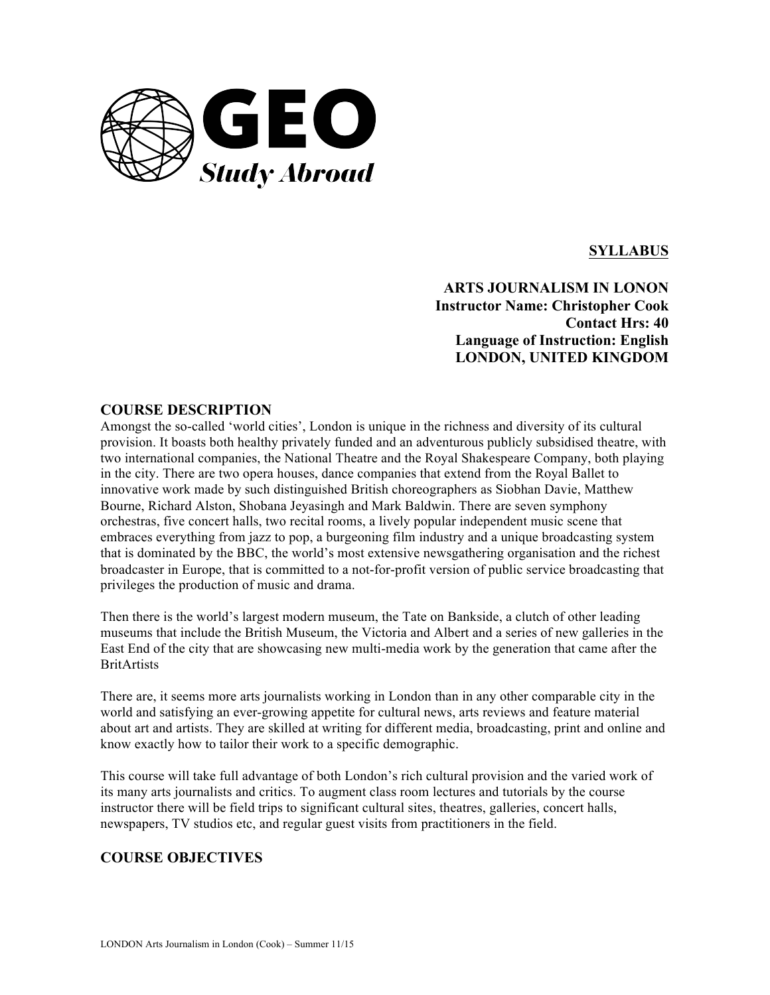

# **SYLLABUS**

**ARTS JOURNALISM IN LONON Instructor Name: Christopher Cook Contact Hrs: 40 Language of Instruction: English LONDON, UNITED KINGDOM**

# **COURSE DESCRIPTION**

Amongst the so-called 'world cities', London is unique in the richness and diversity of its cultural provision. It boasts both healthy privately funded and an adventurous publicly subsidised theatre, with two international companies, the National Theatre and the Royal Shakespeare Company, both playing in the city. There are two opera houses, dance companies that extend from the Royal Ballet to innovative work made by such distinguished British choreographers as Siobhan Davie, Matthew Bourne, Richard Alston, Shobana Jeyasingh and Mark Baldwin. There are seven symphony orchestras, five concert halls, two recital rooms, a lively popular independent music scene that embraces everything from jazz to pop, a burgeoning film industry and a unique broadcasting system that is dominated by the BBC, the world's most extensive newsgathering organisation and the richest broadcaster in Europe, that is committed to a not-for-profit version of public service broadcasting that privileges the production of music and drama.

Then there is the world's largest modern museum, the Tate on Bankside, a clutch of other leading museums that include the British Museum, the Victoria and Albert and a series of new galleries in the East End of the city that are showcasing new multi-media work by the generation that came after the **BritArtists** 

There are, it seems more arts journalists working in London than in any other comparable city in the world and satisfying an ever-growing appetite for cultural news, arts reviews and feature material about art and artists. They are skilled at writing for different media, broadcasting, print and online and know exactly how to tailor their work to a specific demographic.

This course will take full advantage of both London's rich cultural provision and the varied work of its many arts journalists and critics. To augment class room lectures and tutorials by the course instructor there will be field trips to significant cultural sites, theatres, galleries, concert halls, newspapers, TV studios etc, and regular guest visits from practitioners in the field.

# **COURSE OBJECTIVES**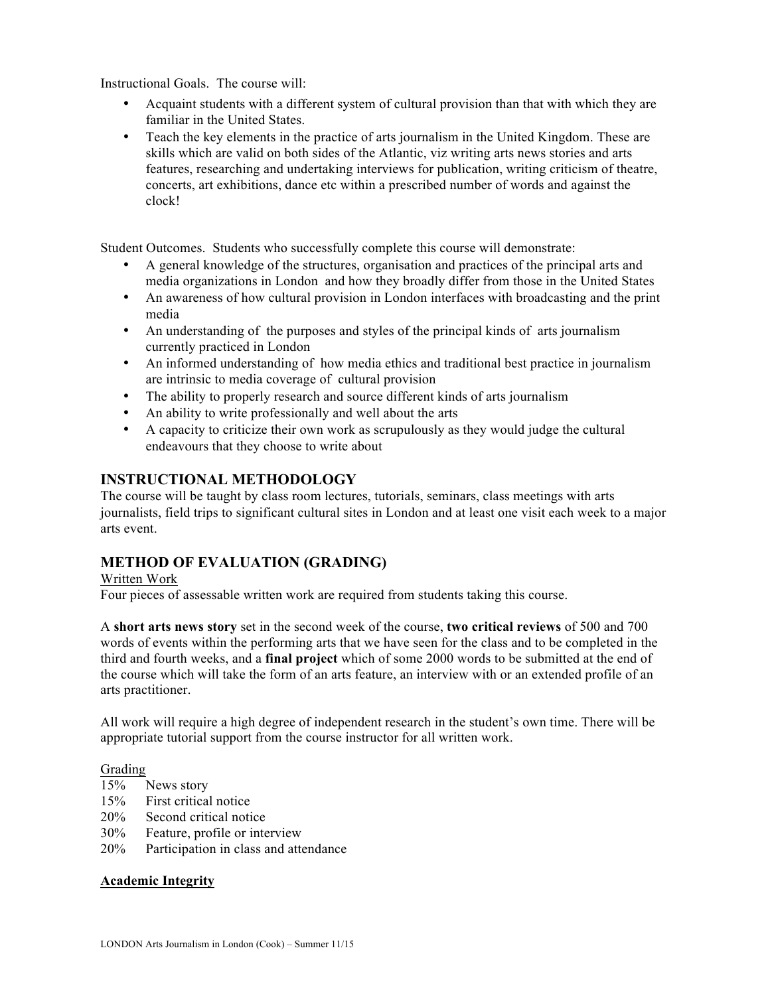Instructional Goals. The course will:

- Acquaint students with a different system of cultural provision than that with which they are familiar in the United States.
- Teach the key elements in the practice of arts journalism in the United Kingdom. These are skills which are valid on both sides of the Atlantic, viz writing arts news stories and arts features, researching and undertaking interviews for publication, writing criticism of theatre, concerts, art exhibitions, dance etc within a prescribed number of words and against the clock!

Student Outcomes. Students who successfully complete this course will demonstrate:

- A general knowledge of the structures, organisation and practices of the principal arts and media organizations in London and how they broadly differ from those in the United States
- An awareness of how cultural provision in London interfaces with broadcasting and the print media
- An understanding of the purposes and styles of the principal kinds of arts journalism currently practiced in London
- An informed understanding of how media ethics and traditional best practice in journalism are intrinsic to media coverage of cultural provision
- The ability to properly research and source different kinds of arts journalism
- An ability to write professionally and well about the arts
- A capacity to criticize their own work as scrupulously as they would judge the cultural endeavours that they choose to write about

# **INSTRUCTIONAL METHODOLOGY**

The course will be taught by class room lectures, tutorials, seminars, class meetings with arts journalists, field trips to significant cultural sites in London and at least one visit each week to a major arts event.

# **METHOD OF EVALUATION (GRADING)**

# Written Work

Four pieces of assessable written work are required from students taking this course.

A **short arts news story** set in the second week of the course, **two critical reviews** of 500 and 700 words of events within the performing arts that we have seen for the class and to be completed in the third and fourth weeks, and a **final project** which of some 2000 words to be submitted at the end of the course which will take the form of an arts feature, an interview with or an extended profile of an arts practitioner.

All work will require a high degree of independent research in the student's own time. There will be appropriate tutorial support from the course instructor for all written work.

# Grading

- 15% News story
- 15% First critical notice
- 20% Second critical notice
- 30% Feature, profile or interview
- 20% Participation in class and attendance

# **Academic Integrity**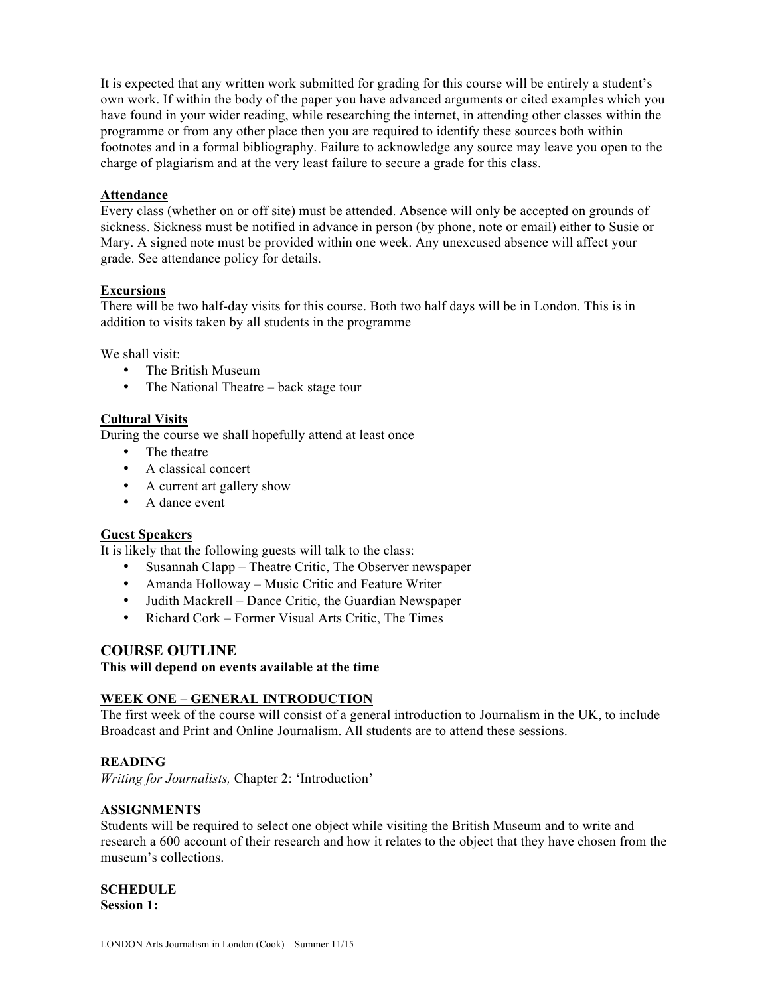It is expected that any written work submitted for grading for this course will be entirely a student's own work. If within the body of the paper you have advanced arguments or cited examples which you have found in your wider reading, while researching the internet, in attending other classes within the programme or from any other place then you are required to identify these sources both within footnotes and in a formal bibliography. Failure to acknowledge any source may leave you open to the charge of plagiarism and at the very least failure to secure a grade for this class.

#### **Attendance**

Every class (whether on or off site) must be attended. Absence will only be accepted on grounds of sickness. Sickness must be notified in advance in person (by phone, note or email) either to Susie or Mary. A signed note must be provided within one week. Any unexcused absence will affect your grade. See attendance policy for details.

# **Excursions**

There will be two half-day visits for this course. Both two half days will be in London. This is in addition to visits taken by all students in the programme

We shall visit:

- The British Museum
- The National Theatre back stage tour

# **Cultural Visits**

During the course we shall hopefully attend at least once

- The theatre
- A classical concert
- A current art gallery show
- A dance event

# **Guest Speakers**

It is likely that the following guests will talk to the class:

- Susannah Clapp Theatre Critic, The Observer newspaper
- Amanda Holloway Music Critic and Feature Writer
- Judith Mackrell Dance Critic, the Guardian Newspaper
- Richard Cork Former Visual Arts Critic, The Times

# **COURSE OUTLINE**

**This will depend on events available at the time**

# **WEEK ONE – GENERAL INTRODUCTION**

The first week of the course will consist of a general introduction to Journalism in the UK, to include Broadcast and Print and Online Journalism. All students are to attend these sessions.

# **READING**

*Writing for Journalists,* Chapter 2: 'Introduction'

# **ASSIGNMENTS**

Students will be required to select one object while visiting the British Museum and to write and research a 600 account of their research and how it relates to the object that they have chosen from the museum's collections.

# **SCHEDULE**

**Session 1:**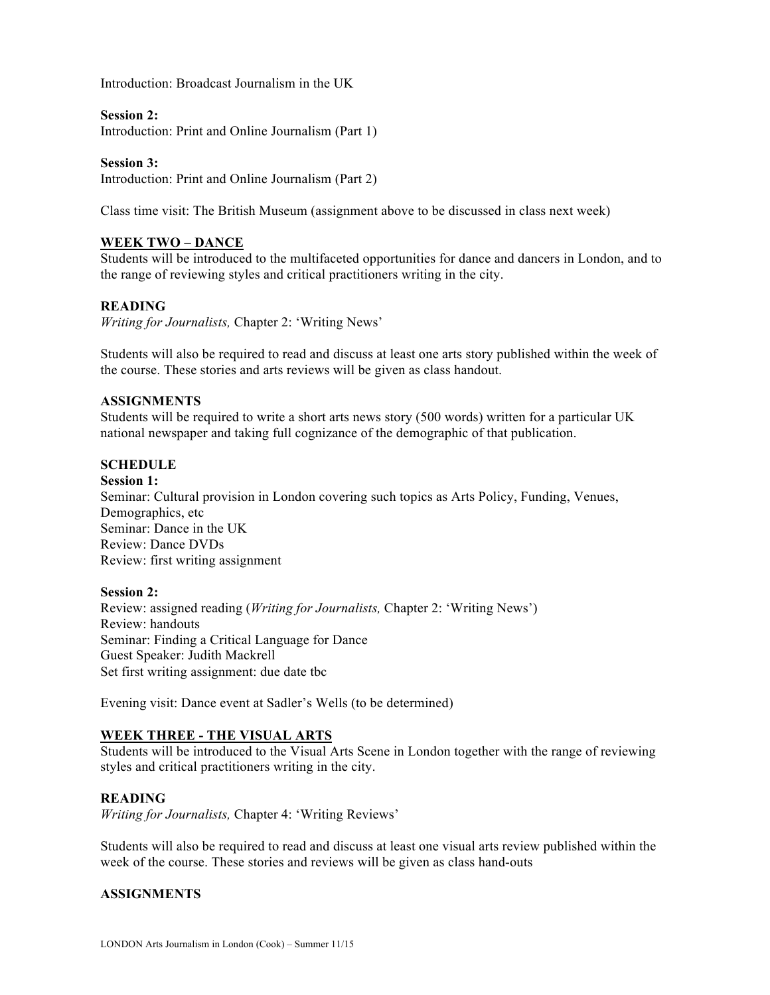Introduction: Broadcast Journalism in the UK

#### **Session 2:**

Introduction: Print and Online Journalism (Part 1)

#### **Session 3:**

Introduction: Print and Online Journalism (Part 2)

Class time visit: The British Museum (assignment above to be discussed in class next week)

# **WEEK TWO – DANCE**

Students will be introduced to the multifaceted opportunities for dance and dancers in London, and to the range of reviewing styles and critical practitioners writing in the city.

# **READING**

*Writing for Journalists,* Chapter 2: 'Writing News'

Students will also be required to read and discuss at least one arts story published within the week of the course. These stories and arts reviews will be given as class handout.

#### **ASSIGNMENTS**

Students will be required to write a short arts news story (500 words) written for a particular UK national newspaper and taking full cognizance of the demographic of that publication.

#### **SCHEDULE**

**Session 1:** Seminar: Cultural provision in London covering such topics as Arts Policy, Funding, Venues, Demographics, etc Seminar: Dance in the UK Review: Dance DVDs Review: first writing assignment

#### **Session 2:**

Review: assigned reading (*Writing for Journalists,* Chapter 2: 'Writing News') Review: handouts Seminar: Finding a Critical Language for Dance Guest Speaker: Judith Mackrell Set first writing assignment: due date tbc

Evening visit: Dance event at Sadler's Wells (to be determined)

# **WEEK THREE - THE VISUAL ARTS**

Students will be introduced to the Visual Arts Scene in London together with the range of reviewing styles and critical practitioners writing in the city.

# **READING**

*Writing for Journalists,* Chapter 4: 'Writing Reviews'

Students will also be required to read and discuss at least one visual arts review published within the week of the course. These stories and reviews will be given as class hand-outs

# **ASSIGNMENTS**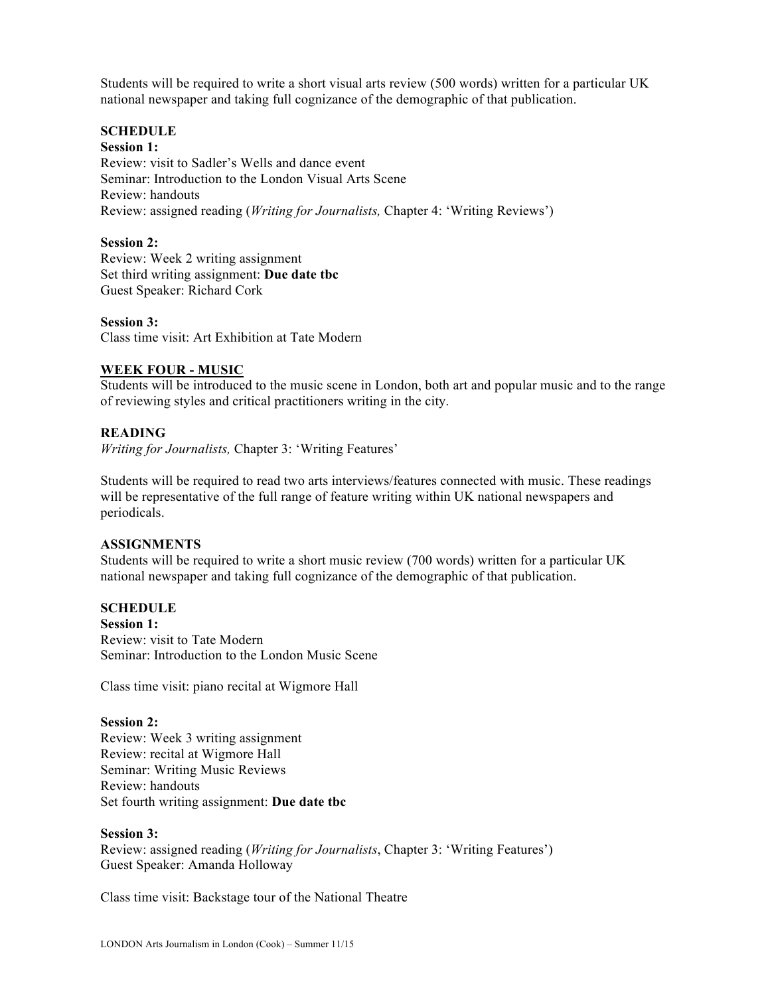Students will be required to write a short visual arts review (500 words) written for a particular UK national newspaper and taking full cognizance of the demographic of that publication.

# **SCHEDULE**

#### **Session 1:**

Review: visit to Sadler's Wells and dance event Seminar: Introduction to the London Visual Arts Scene Review: handouts Review: assigned reading (*Writing for Journalists,* Chapter 4: 'Writing Reviews')

#### **Session 2:**

Review: Week 2 writing assignment Set third writing assignment: **Due date tbc** Guest Speaker: Richard Cork

#### **Session 3:**

Class time visit: Art Exhibition at Tate Modern

#### **WEEK FOUR - MUSIC**

Students will be introduced to the music scene in London, both art and popular music and to the range of reviewing styles and critical practitioners writing in the city.

#### **READING**

*Writing for Journalists,* Chapter 3: 'Writing Features'

Students will be required to read two arts interviews/features connected with music. These readings will be representative of the full range of feature writing within UK national newspapers and periodicals.

#### **ASSIGNMENTS**

Students will be required to write a short music review (700 words) written for a particular UK national newspaper and taking full cognizance of the demographic of that publication.

#### **SCHEDULE**

**Session 1:**

Review: visit to Tate Modern Seminar: Introduction to the London Music Scene

Class time visit: piano recital at Wigmore Hall

# **Session 2:**

Review: Week 3 writing assignment Review: recital at Wigmore Hall Seminar: Writing Music Reviews Review: handouts Set fourth writing assignment: **Due date tbc**

# **Session 3:**

Review: assigned reading (*Writing for Journalists*, Chapter 3: 'Writing Features') Guest Speaker: Amanda Holloway

Class time visit: Backstage tour of the National Theatre